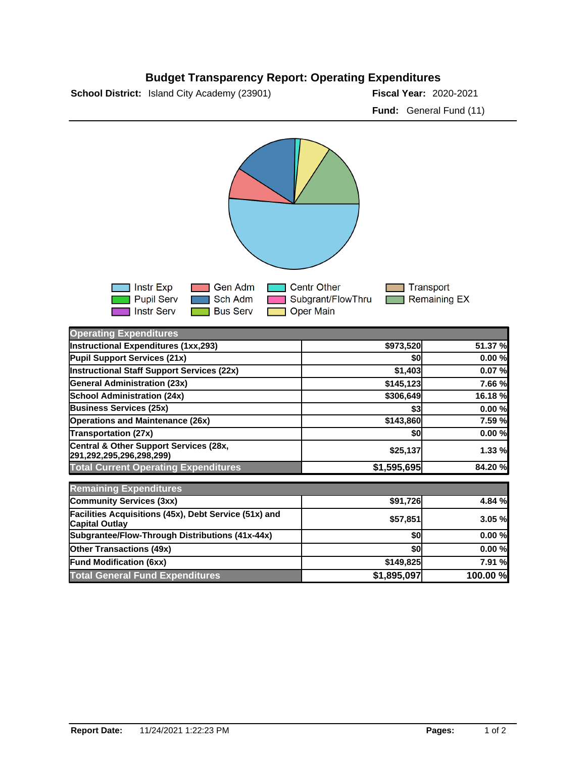## **Budget Transparency Report: Operating Expenditures**

**School District:** Island City Academy (23901) **2020 Fiscal Year:** 2020-2021

**Fund:** General Fund (11)



| <b>Operating Expenditures</b>                                                  |             |          |
|--------------------------------------------------------------------------------|-------------|----------|
| Instructional Expenditures (1xx,293)                                           | \$973,520   | 51.37 %  |
| Pupil Support Services (21x)                                                   | \$0l        | 0.00%    |
| <b>Instructional Staff Support Services (22x)</b>                              | \$1,403     | 0.07%    |
| <b>General Administration (23x)</b>                                            | \$145,123   | 7.66 %   |
| <b>School Administration (24x)</b>                                             | \$306,649   | 16.18 %  |
| <b>Business Services (25x)</b>                                                 | \$3         | 0.00%    |
| <b>Operations and Maintenance (26x)</b>                                        | \$143,860   | 7.59 %   |
| Transportation (27x)                                                           | \$0         | 0.00%    |
| Central & Other Support Services (28x,<br>291,292,295,296,298,299)             | \$25,137    | 1.33 %   |
| <b>Total Current Operating Expenditures</b>                                    | \$1,595,695 | 84.20%   |
| <b>Remaining Expenditures</b>                                                  |             |          |
| Community Services (3xx)                                                       | \$91,726    | 4.84 %   |
| Facilities Acquisitions (45x), Debt Service (51x) and<br><b>Capital Outlay</b> | \$57,851    | 3.05%    |
| Subgrantee/Flow-Through Distributions (41x-44x)                                | \$0         | 0.00%    |
| <b>Other Transactions (49x)</b>                                                | \$0         | 0.00%    |
| <b>Fund Modification (6xx)</b>                                                 | \$149,825   | 7.91 %   |
| <b>Total General Fund Expenditures</b>                                         | \$1,895,097 | 100.00 % |